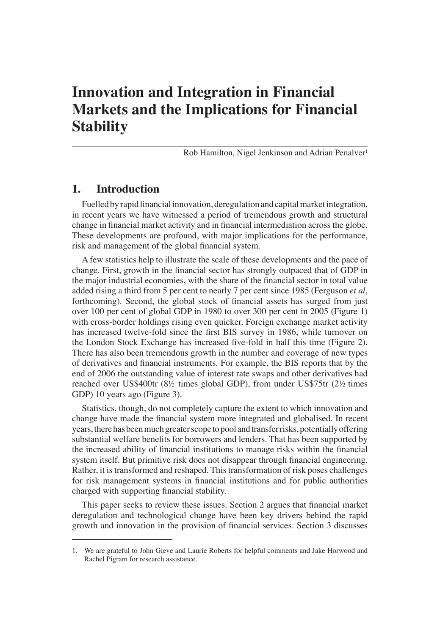## **Innovation and Integration in Financial Markets and the Implications for Financial Stability**

Rob Hamilton, Nigel Jenkinson and Adrian Penalver<sup>1</sup>

#### **1. Introduction**

Fuelled by rapid financial innovation, deregulation and capital market integration, in recent years we have witnessed a period of tremendous growth and structural change in financial market activity and in financial intermediation across the globe. These developments are profound, with major implications for the performance, risk and management of the global financial system.

A few statistics help to illustrate the scale of these developments and the pace of change. First, growth in the financial sector has strongly outpaced that of GDP in the major industrial economies, with the share of the financial sector in total value added rising a third from 5 per cent to nearly 7 per cent since 1985 (Ferguson *et al*, forthcoming). Second, the global stock of financial assets has surged from just over 100 per cent of global GDP in 1980 to over 300 per cent in 2005 (Figure 1) with cross-border holdings rising even quicker. Foreign exchange market activity has increased twelve-fold since the first BIS survey in 1986, while turnover on the London Stock Exchange has increased five-fold in half this time (Figure 2). There has also been tremendous growth in the number and coverage of new types of derivatives and financial instruments. For example, the BIS reports that by the end of 2006 the outstanding value of interest rate swaps and other derivatives had reached over US\$400tr (8½ times global GDP), from under US\$75tr (2½ times GDP) 10 years ago (Figure 3).

Statistics, though, do not completely capture the extent to which innovation and change have made the financial system more integrated and globalised. In recent years, there has been much greater scope to pool and transfer risks, potentially offering substantial welfare benefits for borrowers and lenders. That has been supported by the increased ability of financial institutions to manage risks within the financial system itself. But primitive risk does not disappear through financial engineering. Rather, it is transformed and reshaped. This transformation of risk poses challenges for risk management systems in financial institutions and for public authorities charged with supporting financial stability.

This paper seeks to review these issues. Section 2 argues that financial market deregulation and technological change have been key drivers behind the rapid growth and innovation in the provision of financial services. Section 3 discusses

<sup>1.</sup> We are grateful to John Gieve and Laurie Roberts for helpful comments and Jake Horwood and Rachel Pigram for research assistance.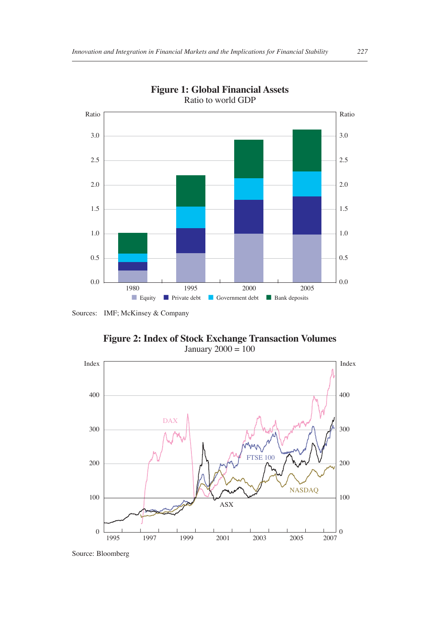

**Figure 1: Global Financial Assets** Ratio to world GDP

**Figure 2: Index of Stock Exchange Transaction Volumes** January  $2000 = 100$ 



Source: Bloomberg

Sources: IMF; McKinsey & Company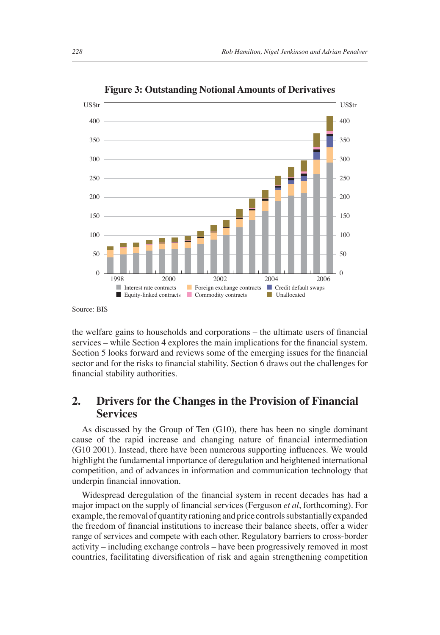

**Figure 3: Outstanding Notional Amounts of Derivatives**

the welfare gains to households and corporations – the ultimate users of financial services – while Section 4 explores the main implications for the financial system. Section 5 looks forward and reviews some of the emerging issues for the financial sector and for the risks to financial stability. Section 6 draws out the challenges for financial stability authorities.

#### **2. Drivers for the Changes in the Provision of Financial Services**

As discussed by the Group of Ten (G10), there has been no single dominant cause of the rapid increase and changing nature of financial intermediation  $(G10 2001)$ . Instead, there have been numerous supporting influences. We would highlight the fundamental importance of deregulation and heightened international competition, and of advances in information and communication technology that underpin financial innovation.

Widespread deregulation of the financial system in recent decades has had a major impact on the supply of financial services (Ferguson *et al*, forthcoming). For example, the removal of quantity rationing and price controls substantially expanded the freedom of financial institutions to increase their balance sheets, offer a wider range of services and compete with each other. Regulatory barriers to cross-border activity – including exchange controls – have been progressively removed in most countries, facilitating diversification of risk and again strengthening competition

Source: BIS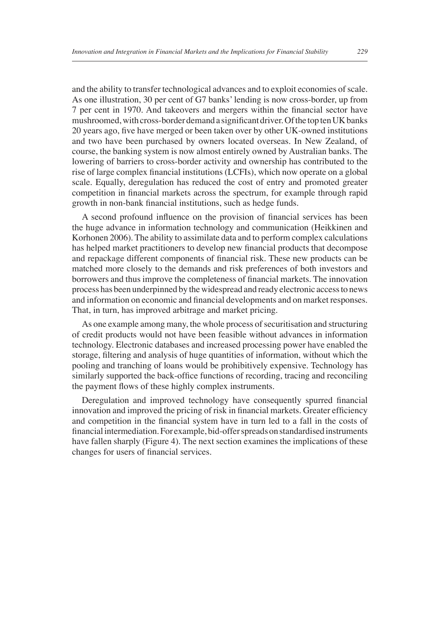and the ability to transfer technological advances and to exploit economies of scale. As one illustration, 30 per cent of G7 banks' lending is now cross-border, up from 7 per cent in 1970. And takeovers and mergers within the financial sector have mushroomed, with cross-border demand a significant driver. Of the top ten UK banks 20 years ago, five have merged or been taken over by other UK-owned institutions and two have been purchased by owners located overseas. In New Zealand, of course, the banking system is now almost entirely owned by Australian banks. The lowering of barriers to cross-border activity and ownership has contributed to the rise of large complex financial institutions (LCFIs), which now operate on a global scale. Equally, deregulation has reduced the cost of entry and promoted greater competition in financial markets across the spectrum, for example through rapid growth in non-bank financial institutions, such as hedge funds.

A second profound influence on the provision of financial services has been the huge advance in information technology and communication (Heikkinen and Korhonen 2006). The ability to assimilate data and to perform complex calculations has helped market practitioners to develop new financial products that decompose and repackage different components of financial risk. These new products can be matched more closely to the demands and risk preferences of both investors and borrowers and thus improve the completeness of financial markets. The innovation process has been underpinned by the widespread and ready electronic access to news and information on economic and financial developments and on market responses. That, in turn, has improved arbitrage and market pricing.

As one example among many, the whole process of securitisation and structuring of credit products would not have been feasible without advances in information technology. Electronic databases and increased processing power have enabled the storage, filtering and analysis of huge quantities of information, without which the pooling and tranching of loans would be prohibitively expensive. Technology has similarly supported the back-office functions of recording, tracing and reconciling the payment flows of these highly complex instruments.

Deregulation and improved technology have consequently spurred financial innovation and improved the pricing of risk in financial markets. Greater efficiency and competition in the financial system have in turn led to a fall in the costs of financial intermediation. For example, bid-offer spreads on standardised instruments have fallen sharply (Figure 4). The next section examines the implications of these changes for users of financial services.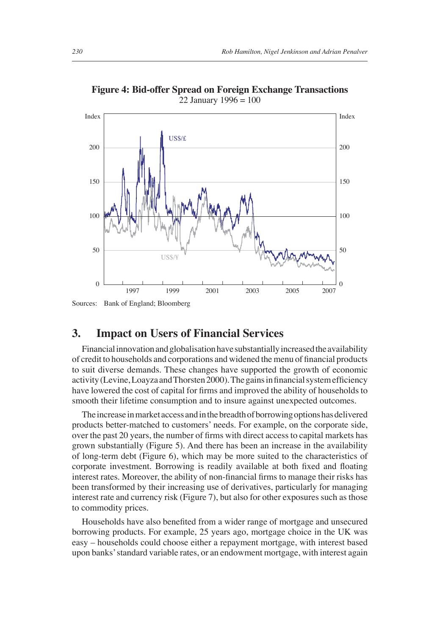

**Figure 4: Bid-offer Spread on Foreign Exchange Transactions** 22 January 1996 = 100

### **3. Impact on Users of Financial Services**

Financial innovation and globalisation have substantially increased the availability of credit to households and corporations and widened the menu of financial products to suit diverse demands. These changes have supported the growth of economic activity (Levine, Loayza and Thorsten 2000). The gains in financial system efficiency have lowered the cost of capital for firms and improved the ability of households to smooth their lifetime consumption and to insure against unexpected outcomes.

The increase in market access and in the breadth of borrowing options has delivered products better-matched to customers' needs. For example, on the corporate side, over the past 20 years, the number of firms with direct access to capital markets has grown substantially (Figure 5). And there has been an increase in the availability of long-term debt (Figure 6), which may be more suited to the characteristics of corporate investment. Borrowing is readily available at both fixed and floating interest rates. Moreover, the ability of non-financial firms to manage their risks has been transformed by their increasing use of derivatives, particularly for managing interest rate and currency risk (Figure 7), but also for other exposures such as those to commodity prices.

Households have also benefited from a wider range of mortgage and unsecured borrowing products. For example, 25 years ago, mortgage choice in the UK was easy – households could choose either a repayment mortgage, with interest based upon banks' standard variable rates, or an endowment mortgage, with interest again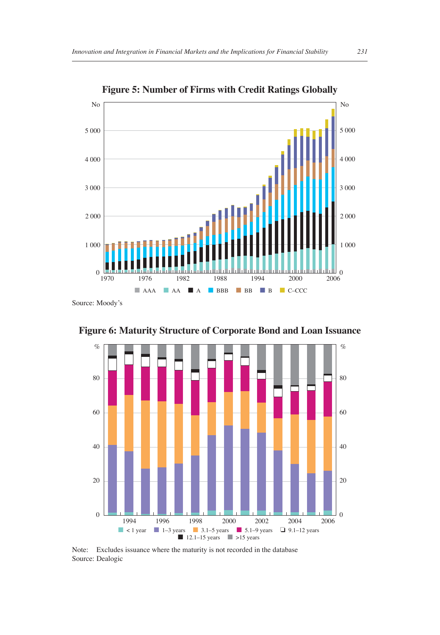

**Figure 6: Maturity Structure of Corporate Bond and Loan Issuance**



Note: Excludes issuance where the maturity is not recorded in the database Source: Dealogic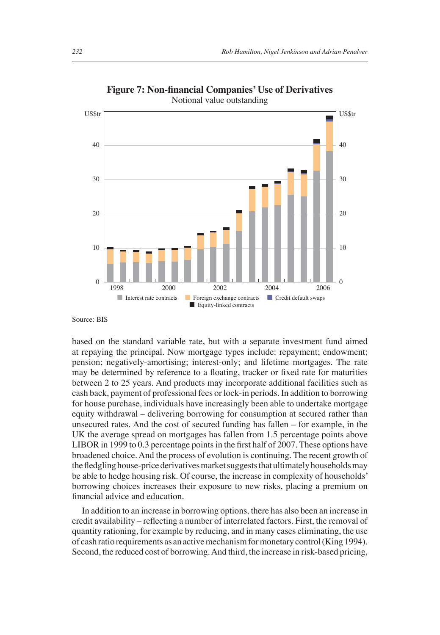

**Figure 7: Non-financial Companies' Use of Derivatives** Notional value outstanding

Source: BIS

based on the standard variable rate, but with a separate investment fund aimed at repaying the principal. Now mortgage types include: repayment; endowment; pension; negatively-amortising; interest-only; and lifetime mortgages. The rate may be determined by reference to a floating, tracker or fixed rate for maturities between 2 to 25 years. And products may incorporate additional facilities such as cash back, payment of professional fees or lock-in periods. In addition to borrowing for house purchase, individuals have increasingly been able to undertake mortgage equity withdrawal – delivering borrowing for consumption at secured rather than unsecured rates. And the cost of secured funding has fallen – for example, in the UK the average spread on mortgages has fallen from 1.5 percentage points above LIBOR in 1999 to 0.3 percentage points in the first half of 2007. These options have broadened choice. And the process of evolution is continuing. The recent growth of the fledgling house-price derivatives market suggests that ultimately households may be able to hedge housing risk. Of course, the increase in complexity of households' borrowing choices increases their exposure to new risks, placing a premium on financial advice and education.

In addition to an increase in borrowing options, there has also been an increase in credit availability – reflecting a number of interrelated factors. First, the removal of quantity rationing, for example by reducing, and in many cases eliminating, the use of cash ratio requirements as an active mechanism for monetary control (King 1994). Second, the reduced cost of borrowing. And third, the increase in risk-based pricing,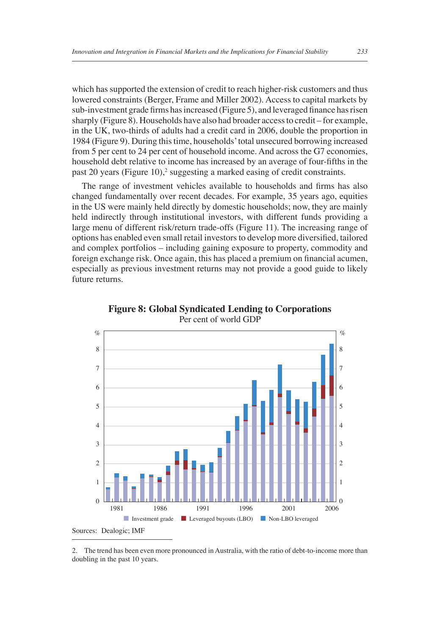which has supported the extension of credit to reach higher-risk customers and thus lowered constraints (Berger, Frame and Miller 2002). Access to capital markets by sub-investment grade firms has increased (Figure 5), and leveraged finance has risen sharply (Figure 8). Households have also had broader access to credit – for example, in the UK, two-thirds of adults had a credit card in 2006, double the proportion in 1984 (Figure 9). During this time, households' total unsecured borrowing increased from 5 per cent to 24 per cent of household income. And across the G7 economies, household debt relative to income has increased by an average of four-fifths in the past 20 years (Figure 10),<sup>2</sup> suggesting a marked easing of credit constraints.

The range of investment vehicles available to households and firms has also changed fundamentally over recent decades. For example, 35 years ago, equities in the US were mainly held directly by domestic households; now, they are mainly held indirectly through institutional investors, with different funds providing a large menu of different risk/return trade-offs (Figure 11). The increasing range of options has enabled even small retail investors to develop more diversified, tailored and complex portfolios – including gaining exposure to property, commodity and foreign exchange risk. Once again, this has placed a premium on financial acumen, especially as previous investment returns may not provide a good guide to likely future returns.



**Figure 8: Global Syndicated Lending to Corporations** Per cent of world GDP

<sup>2.</sup> The trend has been even more pronounced in Australia, with the ratio of debt-to-income more than doubling in the past 10 years.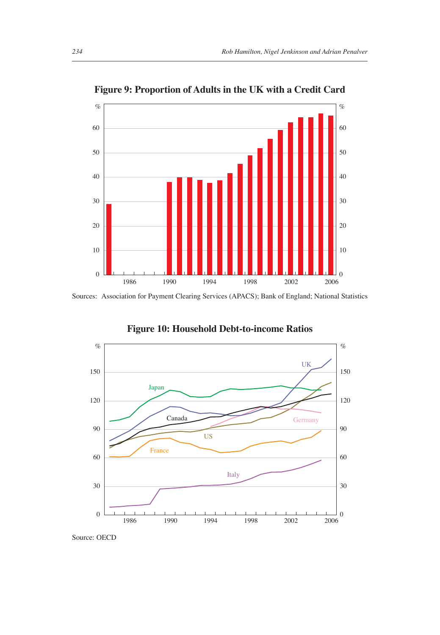

**Figure 9: Proportion of Adults in the UK with a Credit Card**

Sources: Association for Payment Clearing Services (APACS); Bank of England; National Statistics



**Figure 10: Household Debt-to-income Ratios**

Source: OECD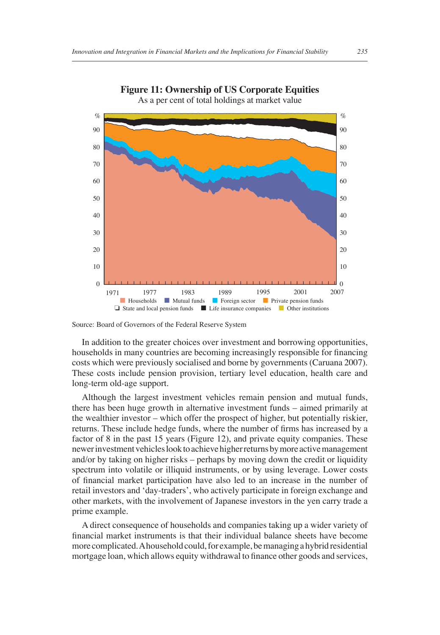



In addition to the greater choices over investment and borrowing opportunities, households in many countries are becoming increasingly responsible for financing costs which were previously socialised and borne by governments (Caruana 2007). These costs include pension provision, tertiary level education, health care and long-term old-age support.

Although the largest investment vehicles remain pension and mutual funds, there has been huge growth in alternative investment funds – aimed primarily at the wealthier investor – which offer the prospect of higher, but potentially riskier, returns. These include hedge funds, where the number of firms has increased by a factor of 8 in the past 15 years (Figure 12), and private equity companies. These newer investment vehicles look to achieve higher returns by more active management and/or by taking on higher risks – perhaps by moving down the credit or liquidity spectrum into volatile or illiquid instruments, or by using leverage. Lower costs of financial market participation have also led to an increase in the number of retail investors and 'day-traders', who actively participate in foreign exchange and other markets, with the involvement of Japanese investors in the yen carry trade a prime example.

A direct consequence of households and companies taking up a wider variety of financial market instruments is that their individual balance sheets have become more complicated. A household could, for example, be managing a hybrid residential mortgage loan, which allows equity withdrawal to finance other goods and services,

Source: Board of Governors of the Federal Reserve System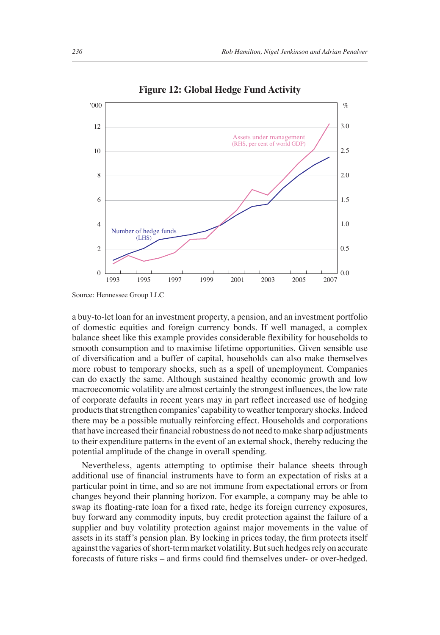

**Figure 12: Global Hedge Fund Activity**

a buy-to-let loan for an investment property, a pension, and an investment portfolio of domestic equities and foreign currency bonds. If well managed, a complex balance sheet like this example provides considerable flexibility for households to smooth consumption and to maximise lifetime opportunities. Given sensible use of diversification and a buffer of capital, households can also make themselves more robust to temporary shocks, such as a spell of unemployment. Companies can do exactly the same. Although sustained healthy economic growth and low macroeconomic volatility are almost certainly the strongest influences, the low rate of corporate defaults in recent years may in part reflect increased use of hedging products that strengthen companies' capability to weather temporary shocks. Indeed there may be a possible mutually reinforcing effect. Households and corporations that have increased their financial robustness do not need to make sharp adjustments to their expenditure patterns in the event of an external shock, thereby reducing the potential amplitude of the change in overall spending.

Nevertheless, agents attempting to optimise their balance sheets through additional use of financial instruments have to form an expectation of risks at a particular point in time, and so are not immune from expectational errors or from changes beyond their planning horizon. For example, a company may be able to swap its floating-rate loan for a fixed rate, hedge its foreign currency exposures, buy forward any commodity inputs, buy credit protection against the failure of a supplier and buy volatility protection against major movements in the value of assets in its staff's pension plan. By locking in prices today, the firm protects itself against the vagaries of short-term market volatility. But such hedges rely on accurate forecasts of future risks – and firms could find themselves under- or over-hedged.

Source: Hennessee Group LLC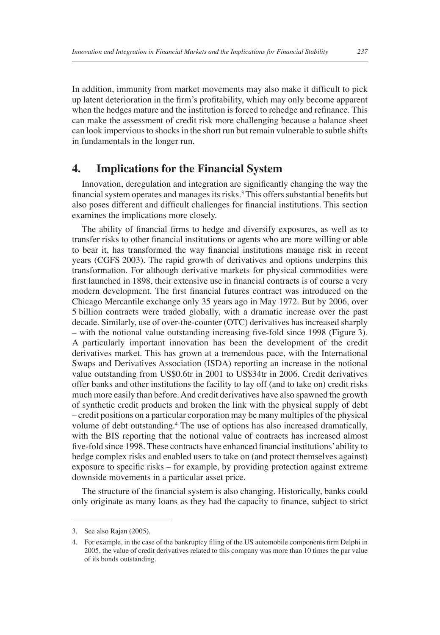In addition, immunity from market movements may also make it difficult to pick up latent deterioration in the firm's profitability, which may only become apparent when the hedges mature and the institution is forced to rehedge and refinance. This can make the assessment of credit risk more challenging because a balance sheet can look impervious to shocks in the short run but remain vulnerable to subtle shifts in fundamentals in the longer run.

#### **4. Implications for the Financial System**

Innovation, deregulation and integration are significantly changing the way the financial system operates and manages its risks.<sup>3</sup> This offers substantial benefits but also poses different and difficult challenges for financial institutions. This section examines the implications more closely.

The ability of financial firms to hedge and diversify exposures, as well as to transfer risks to other financial institutions or agents who are more willing or able to bear it, has transformed the way financial institutions manage risk in recent years (CGFS 2003). The rapid growth of derivatives and options underpins this transformation. For although derivative markets for physical commodities were first launched in 1898, their extensive use in financial contracts is of course a very modern development. The first financial futures contract was introduced on the Chicago Mercantile exchange only 35 years ago in May 1972. But by 2006, over 5 billion contracts were traded globally, with a dramatic increase over the past decade. Similarly, use of over-the-counter (OTC) derivatives has increased sharply – with the notional value outstanding increasing five-fold since 1998 (Figure 3). A particularly important innovation has been the development of the credit derivatives market. This has grown at a tremendous pace, with the International Swaps and Derivatives Association (ISDA) reporting an increase in the notional value outstanding from US\$0.6tr in 2001 to US\$34tr in 2006. Credit derivatives offer banks and other institutions the facility to lay off (and to take on) credit risks much more easily than before. And credit derivatives have also spawned the growth of synthetic credit products and broken the link with the physical supply of debt – credit positions on a particular corporation may be many multiples of the physical volume of debt outstanding.<sup>4</sup> The use of options has also increased dramatically, with the BIS reporting that the notional value of contracts has increased almost five-fold since 1998. These contracts have enhanced financial institutions' ability to hedge complex risks and enabled users to take on (and protect themselves against) exposure to specific risks  $-$  for example, by providing protection against extreme downside movements in a particular asset price.

The structure of the financial system is also changing. Historically, banks could only originate as many loans as they had the capacity to finance, subject to strict

<sup>3.</sup> See also Rajan (2005).

<sup>4.</sup> For example, in the case of the bankruptcy filing of the US automobile components firm Delphi in 2005, the value of credit derivatives related to this company was more than 10 times the par value of its bonds outstanding.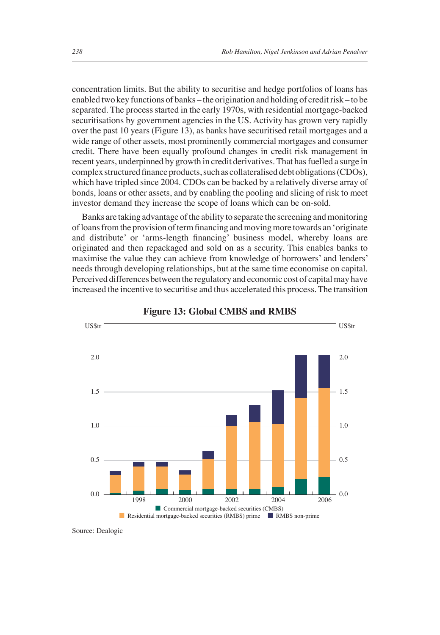concentration limits. But the ability to securitise and hedge portfolios of loans has enabled two key functions of banks – the origination and holding of credit risk – to be separated. The process started in the early 1970s, with residential mortgage-backed securitisations by government agencies in the US. Activity has grown very rapidly over the past 10 years (Figure 13), as banks have securitised retail mortgages and a wide range of other assets, most prominently commercial mortgages and consumer credit. There have been equally profound changes in credit risk management in recent years, underpinned by growth in credit derivatives. That has fuelled a surge in complex structured finance products, such as collateralised debt obligations (CDOs), which have tripled since 2004. CDOs can be backed by a relatively diverse array of bonds, loans or other assets, and by enabling the pooling and slicing of risk to meet investor demand they increase the scope of loans which can be on-sold.

Banks are taking advantage of the ability to separate the screening and monitoring of loans from the provision of term financing and moving more towards an 'originate and distribute' or 'arms-length financing' business model, whereby loans are originated and then repackaged and sold on as a security. This enables banks to maximise the value they can achieve from knowledge of borrowers' and lenders' needs through developing relationships, but at the same time economise on capital. Perceived differences between the regulatory and economic cost of capital may have increased the incentive to securitise and thus accelerated this process. The transition





Source: Dealogic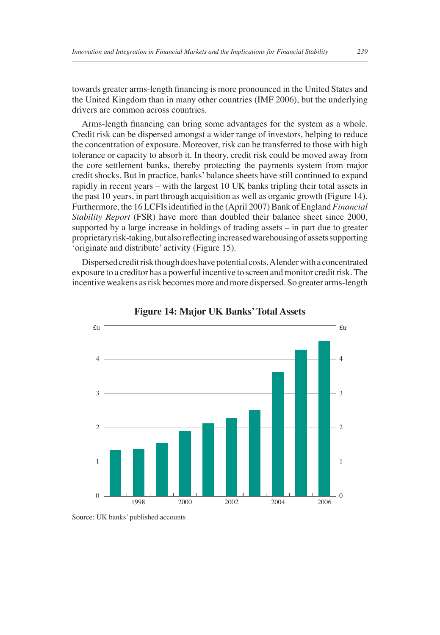towards greater arms-length financing is more pronounced in the United States and the United Kingdom than in many other countries (IMF 2006), but the underlying drivers are common across countries.

Arms-length financing can bring some advantages for the system as a whole. Credit risk can be dispersed amongst a wider range of investors, helping to reduce the concentration of exposure. Moreover, risk can be transferred to those with high tolerance or capacity to absorb it. In theory, credit risk could be moved away from the core settlement banks, thereby protecting the payments system from major credit shocks. But in practice, banks' balance sheets have still continued to expand rapidly in recent years – with the largest 10 UK banks tripling their total assets in the past 10 years, in part through acquisition as well as organic growth (Figure 14). Furthermore, the 16 LCFIs identified in the (April 2007) Bank of England *Financial Stability Report* (FSR) have more than doubled their balance sheet since 2000, supported by a large increase in holdings of trading assets – in part due to greater proprietary risk-taking, but also reflecting increased warehousing of assets supporting 'originate and distribute' activity (Figure 15).

Dispersed credit risk though does have potential costs. A lender with a concentrated exposure to a creditor has a powerful incentive to screen and monitor credit risk. The incentive weakens as risk becomes more and more dispersed. So greater arms-length



**Figure 14: Major UK Banks' Total Assets**

Source: UK banks' published accounts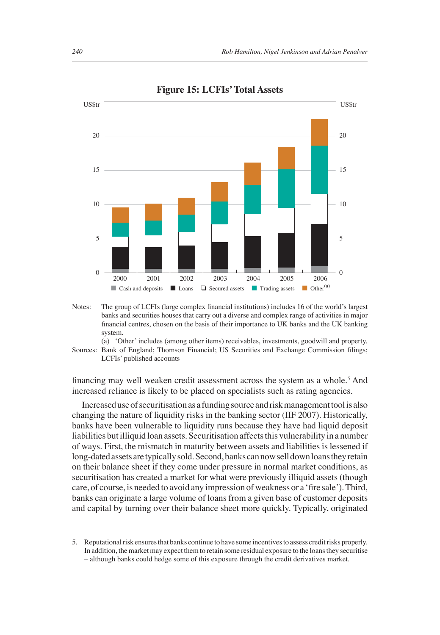

**Figure 15: LCFIs' Total Assets**

financing may well weaken credit assessment across the system as a whole.<sup>5</sup> And increased reliance is likely to be placed on specialists such as rating agencies.

Increased use of securitisation as a funding source and risk management tool is also changing the nature of liquidity risks in the banking sector (IIF 2007). Historically, banks have been vulnerable to liquidity runs because they have had liquid deposit liabilities but illiquid loan assets. Securitisation affects this vulnerability in a number of ways. First, the mismatch in maturity between assets and liabilities is lessened if long-dated assets are typically sold. Second, banks can now sell down loans they retain on their balance sheet if they come under pressure in normal market conditions, as securitisation has created a market for what were previously illiquid assets (though care, of course, is needed to avoid any impression of weakness or a 'fire sale'). Third, banks can originate a large volume of loans from a given base of customer deposits and capital by turning over their balance sheet more quickly. Typically, originated

Notes: The group of LCFIs (large complex financial institutions) includes 16 of the world's largest banks and securities houses that carry out a diverse and complex range of activities in major financial centres, chosen on the basis of their importance to UK banks and the UK banking system.

 <sup>(</sup>a) 'Other' includes (among other items) receivables, investments, goodwill and property. Sources: Bank of England; Thomson Financial; US Securities and Exchange Commission filings; LCFIs' published accounts

<sup>5.</sup> Reputational risk ensures that banks continue to have some incentives to assess credit risks properly. In addition, the market may expect them to retain some residual exposure to the loans they securitise – although banks could hedge some of this exposure through the credit derivatives market.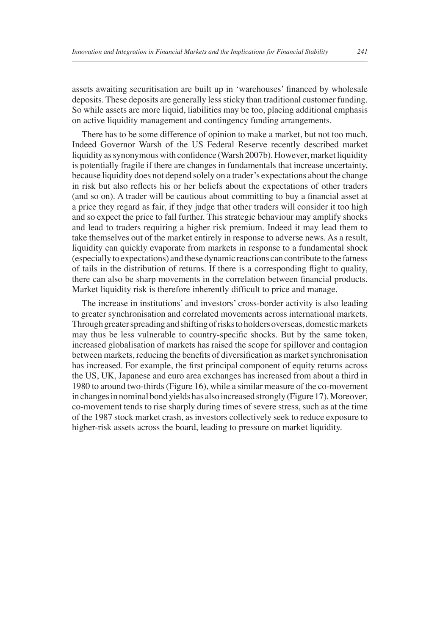assets awaiting securitisation are built up in 'warehouses' financed by wholesale deposits. These deposits are generally less sticky than traditional customer funding. So while assets are more liquid, liabilities may be too, placing additional emphasis on active liquidity management and contingency funding arrangements.

There has to be some difference of opinion to make a market, but not too much. Indeed Governor Warsh of the US Federal Reserve recently described market liquidity as synonymous with confidence (Warsh 2007b). However, market liquidity is potentially fragile if there are changes in fundamentals that increase uncertainty, because liquidity does not depend solely on a trader's expectations about the change in risk but also reflects his or her beliefs about the expectations of other traders (and so on). A trader will be cautious about committing to buy a financial asset at a price they regard as fair, if they judge that other traders will consider it too high and so expect the price to fall further. This strategic behaviour may amplify shocks and lead to traders requiring a higher risk premium. Indeed it may lead them to take themselves out of the market entirely in response to adverse news. As a result, liquidity can quickly evaporate from markets in response to a fundamental shock (especially to expectations) and these dynamic reactions can contribute to the fatness of tails in the distribution of returns. If there is a corresponding flight to quality, there can also be sharp movements in the correlation between financial products. Market liquidity risk is therefore inherently difficult to price and manage.

The increase in institutions' and investors' cross-border activity is also leading to greater synchronisation and correlated movements across international markets. Through greater spreading and shifting of risks to holders overseas, domestic markets may thus be less vulnerable to country-specific shocks. But by the same token, increased globalisation of markets has raised the scope for spillover and contagion between markets, reducing the benefits of diversification as market synchronisation has increased. For example, the first principal component of equity returns across the US, UK, Japanese and euro area exchanges has increased from about a third in 1980 to around two-thirds (Figure 16), while a similar measure of the co-movement in changes in nominal bond yields has also increased strongly (Figure 17). Moreover, co-movement tends to rise sharply during times of severe stress, such as at the time of the 1987 stock market crash, as investors collectively seek to reduce exposure to higher-risk assets across the board, leading to pressure on market liquidity.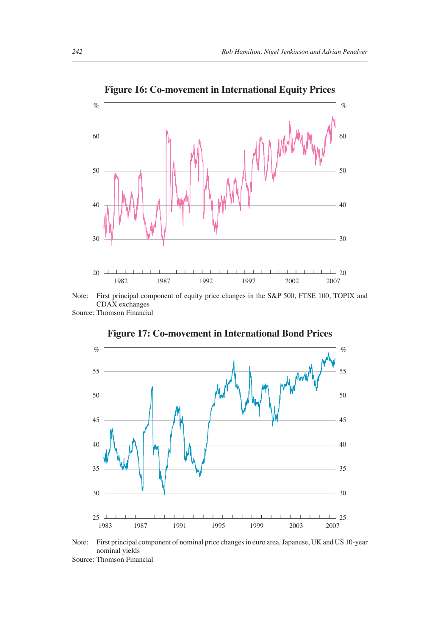

**Figure 16: Co-movement in International Equity Prices**



Source: Thomson Financial



**Figure 17: Co-movement in International Bond Prices**

Note: First principal component of nominal price changes in euro area, Japanese, UK and US 10-year nominal yields

Source: Thomson Financial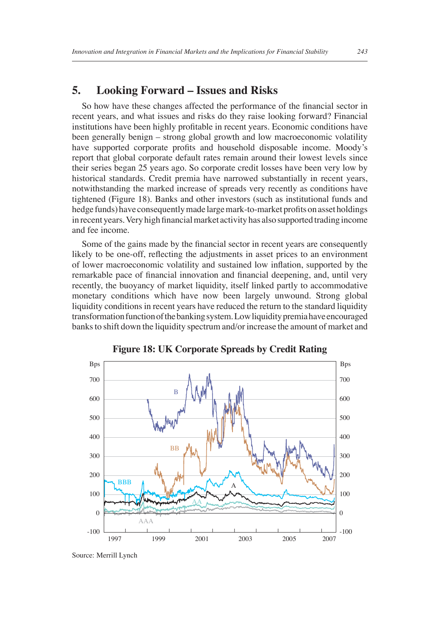#### **5. Looking Forward – Issues and Risks**

So how have these changes affected the performance of the financial sector in recent years, and what issues and risks do they raise looking forward? Financial institutions have been highly profitable in recent years. Economic conditions have been generally benign – strong global growth and low macroeconomic volatility have supported corporate profits and household disposable income. Moody's report that global corporate default rates remain around their lowest levels since their series began 25 years ago. So corporate credit losses have been very low by historical standards. Credit premia have narrowed substantially in recent years, notwithstanding the marked increase of spreads very recently as conditions have tightened (Figure 18). Banks and other investors (such as institutional funds and hedge funds) have consequently made large mark-to-market profits on asset holdings in recent years. Very high financial market activity has also supported trading income and fee income.

Some of the gains made by the financial sector in recent years are consequently likely to be one-off, reflecting the adjustments in asset prices to an environment of lower macroeconomic volatility and sustained low inflation, supported by the remarkable pace of financial innovation and financial deepening, and, until very recently, the buoyancy of market liquidity, itself linked partly to accommodative monetary conditions which have now been largely unwound. Strong global liquidity conditions in recent years have reduced the return to the standard liquidity transformation function of the banking system. Low liquidity premia have encouraged banks to shift down the liquidity spectrum and/or increase the amount of market and





Source: Merrill Lynch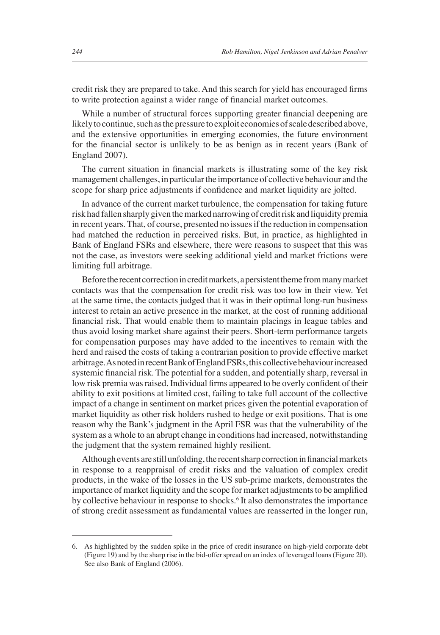credit risk they are prepared to take. And this search for yield has encouraged firms to write protection against a wider range of financial market outcomes.

While a number of structural forces supporting greater financial deepening are likely to continue, such as the pressure to exploit economies of scale described above, and the extensive opportunities in emerging economies, the future environment for the financial sector is unlikely to be as benign as in recent years (Bank of England 2007).

The current situation in financial markets is illustrating some of the key risk management challenges, in particular the importance of collective behaviour and the scope for sharp price adjustments if confidence and market liquidity are jolted.

In advance of the current market turbulence, the compensation for taking future risk had fallen sharply given the marked narrowing of credit risk and liquidity premia in recent years. That, of course, presented no issues if the reduction in compensation had matched the reduction in perceived risks. But, in practice, as highlighted in Bank of England FSRs and elsewhere, there were reasons to suspect that this was not the case, as investors were seeking additional yield and market frictions were limiting full arbitrage.

Before the recent correction in credit markets, a persistent theme from many market contacts was that the compensation for credit risk was too low in their view. Yet at the same time, the contacts judged that it was in their optimal long-run business interest to retain an active presence in the market, at the cost of running additional financial risk. That would enable them to maintain placings in league tables and thus avoid losing market share against their peers. Short-term performance targets for compensation purposes may have added to the incentives to remain with the herd and raised the costs of taking a contrarian position to provide effective market arbitrage. As noted in recent Bank of England FSRs, this collective behaviour increased systemic financial risk. The potential for a sudden, and potentially sharp, reversal in low risk premia was raised. Individual firms appeared to be overly confident of their ability to exit positions at limited cost, failing to take full account of the collective impact of a change in sentiment on market prices given the potential evaporation of market liquidity as other risk holders rushed to hedge or exit positions. That is one reason why the Bank's judgment in the April FSR was that the vulnerability of the system as a whole to an abrupt change in conditions had increased, notwithstanding the judgment that the system remained highly resilient.

Although events are still unfolding, the recent sharp correction in financial markets in response to a reappraisal of credit risks and the valuation of complex credit products, in the wake of the losses in the US sub-prime markets, demonstrates the importance of market liquidity and the scope for market adjustments to be amplified by collective behaviour in response to shocks.<sup>6</sup> It also demonstrates the importance of strong credit assessment as fundamental values are reasserted in the longer run,

<sup>6.</sup> As highlighted by the sudden spike in the price of credit insurance on high-yield corporate debt (Figure 19) and by the sharp rise in the bid-offer spread on an index of leveraged loans (Figure 20). See also Bank of England (2006).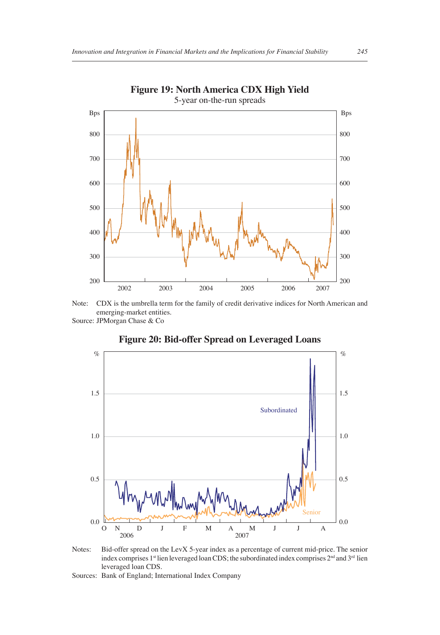

# **Figure 19: North America CDX High Yield**

Note: CDX is the umbrella term for the family of credit derivative indices for North American and emerging-market entities.

Source: JPMorgan Chase & Co



#### **Figure 20: Bid-offer Spread on Leveraged Loans**

Notes: Bid-offer spread on the LevX 5-year index as a percentage of current mid-price. The senior index comprises 1st lien leveraged loan CDS; the subordinated index comprises  $2^{nd}$  and  $3^{rd}$  lien leveraged loan CDS.

Sources: Bank of England; International Index Company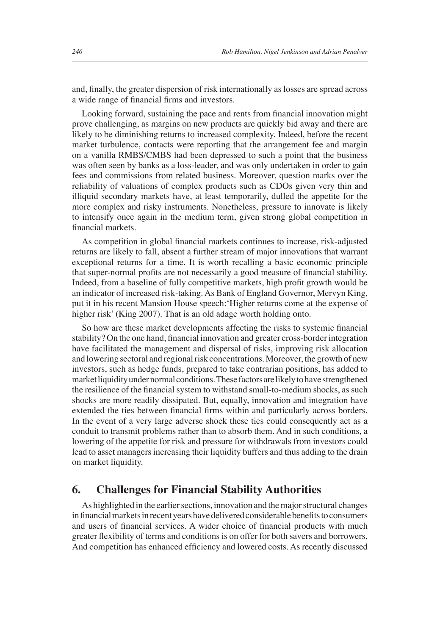and, finally, the greater dispersion of risk internationally as losses are spread across a wide range of financial firms and investors.

Looking forward, sustaining the pace and rents from financial innovation might prove challenging, as margins on new products are quickly bid away and there are likely to be diminishing returns to increased complexity. Indeed, before the recent market turbulence, contacts were reporting that the arrangement fee and margin on a vanilla RMBS/CMBS had been depressed to such a point that the business was often seen by banks as a loss-leader, and was only undertaken in order to gain fees and commissions from related business. Moreover, question marks over the reliability of valuations of complex products such as CDOs given very thin and illiquid secondary markets have, at least temporarily, dulled the appetite for the more complex and risky instruments. Nonetheless, pressure to innovate is likely to intensify once again in the medium term, given strong global competition in financial markets.

As competition in global financial markets continues to increase, risk-adjusted returns are likely to fall, absent a further stream of major innovations that warrant exceptional returns for a time. It is worth recalling a basic economic principle that super-normal profits are not necessarily a good measure of financial stability. Indeed, from a baseline of fully competitive markets, high profit growth would be an indicator of increased risk-taking. As Bank of England Governor, Mervyn King, put it in his recent Mansion House speech:'Higher returns come at the expense of higher risk' (King 2007). That is an old adage worth holding onto.

So how are these market developments affecting the risks to systemic financial stability? On the one hand, financial innovation and greater cross-border integration have facilitated the management and dispersal of risks, improving risk allocation and lowering sectoral and regional risk concentrations. Moreover, the growth of new investors, such as hedge funds, prepared to take contrarian positions, has added to market liquidity under normal conditions. These factors are likely to have strengthened the resilience of the financial system to withstand small-to-medium shocks, as such shocks are more readily dissipated. But, equally, innovation and integration have extended the ties between financial firms within and particularly across borders. In the event of a very large adverse shock these ties could consequently act as a conduit to transmit problems rather than to absorb them. And in such conditions, a lowering of the appetite for risk and pressure for withdrawals from investors could lead to asset managers increasing their liquidity buffers and thus adding to the drain on market liquidity.

#### **6. Challenges for Financial Stability Authorities**

As highlighted in the earlier sections, innovation and the major structural changes in financial markets in recent years have delivered considerable benefits to consumers and users of financial services. A wider choice of financial products with much greater flexibility of terms and conditions is on offer for both savers and borrowers. And competition has enhanced efficiency and lowered costs. As recently discussed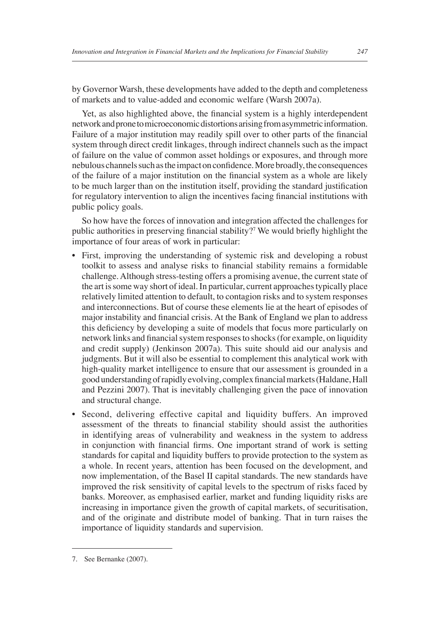by Governor Warsh, these developments have added to the depth and completeness of markets and to value-added and economic welfare (Warsh 2007a).

Yet, as also highlighted above, the financial system is a highly interdependent network and prone to microeconomic distortions arising from asymmetric information. Failure of a major institution may readily spill over to other parts of the financial system through direct credit linkages, through indirect channels such as the impact of failure on the value of common asset holdings or exposures, and through more nebulous channels such as the impact on confidence. More broadly, the consequences of the failure of a major institution on the financial system as a whole are likely to be much larger than on the institution itself, providing the standard justification for regulatory intervention to align the incentives facing financial institutions with public policy goals.

So how have the forces of innovation and integration affected the challenges for public authorities in preserving financial stability?<sup>7</sup> We would briefly highlight the importance of four areas of work in particular:

- First, improving the understanding of systemic risk and developing a robust toolkit to assess and analyse risks to financial stability remains a formidable challenge. Although stress-testing offers a promising avenue, the current state of the art is some way short of ideal. In particular, current approaches typically place relatively limited attention to default, to contagion risks and to system responses and interconnections. But of course these elements lie at the heart of episodes of major instability and financial crisis. At the Bank of England we plan to address this deficiency by developing a suite of models that focus more particularly on network links and financial system responses to shocks (for example, on liquidity and credit supply) (Jenkinson 2007a). This suite should aid our analysis and judgments. But it will also be essential to complement this analytical work with high-quality market intelligence to ensure that our assessment is grounded in a good understanding of rapidly evolving, complex financial markets (Haldane, Hall and Pezzini 2007). That is inevitably challenging given the pace of innovation and structural change.
- Second, delivering effective capital and liquidity buffers. An improved assessment of the threats to financial stability should assist the authorities in identifying areas of vulnerability and weakness in the system to address in conjunction with financial firms. One important strand of work is setting standards for capital and liquidity buffers to provide protection to the system as a whole. In recent years, attention has been focused on the development, and now implementation, of the Basel II capital standards. The new standards have improved the risk sensitivity of capital levels to the spectrum of risks faced by banks. Moreover, as emphasised earlier, market and funding liquidity risks are increasing in importance given the growth of capital markets, of securitisation, and of the originate and distribute model of banking. That in turn raises the importance of liquidity standards and supervision.

<sup>7.</sup> See Bernanke (2007).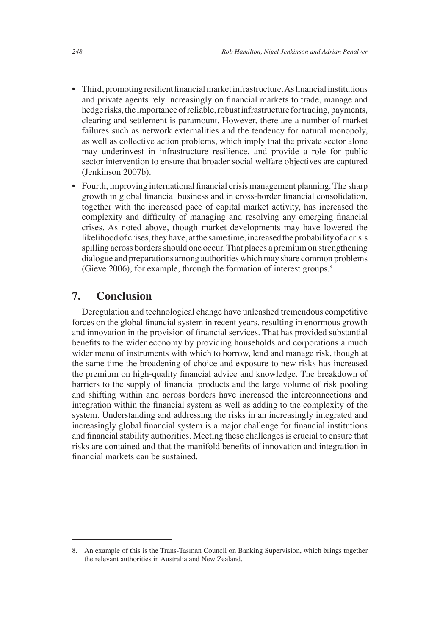- Third, promoting resilient financial market infrastructure. As financial institutions and private agents rely increasingly on financial markets to trade, manage and hedge risks, the importance of reliable, robust infrastructure for trading, payments, clearing and settlement is paramount. However, there are a number of market failures such as network externalities and the tendency for natural monopoly, as well as collective action problems, which imply that the private sector alone may underinvest in infrastructure resilience, and provide a role for public sector intervention to ensure that broader social welfare objectives are captured (Jenkinson 2007b).
- Fourth, improving international financial crisis management planning. The sharp growth in global financial business and in cross-border financial consolidation, together with the increased pace of capital market activity, has increased the complexity and difficulty of managing and resolving any emerging financial crises. As noted above, though market developments may have lowered the likelihood of crises, they have, at the same time, increased the probability of a crisis spilling across borders should one occur. That places a premium on strengthening dialogue and preparations among authorities which may share common problems (Gieve 2006), for example, through the formation of interest groups.8

#### **7. Conclusion**

Deregulation and technological change have unleashed tremendous competitive forces on the global financial system in recent years, resulting in enormous growth and innovation in the provision of financial services. That has provided substantial benefits to the wider economy by providing households and corporations a much wider menu of instruments with which to borrow, lend and manage risk, though at the same time the broadening of choice and exposure to new risks has increased the premium on high-quality financial advice and knowledge. The breakdown of barriers to the supply of financial products and the large volume of risk pooling and shifting within and across borders have increased the interconnections and integration within the financial system as well as adding to the complexity of the system. Understanding and addressing the risks in an increasingly integrated and increasingly global financial system is a major challenge for financial institutions and financial stability authorities. Meeting these challenges is crucial to ensure that risks are contained and that the manifold benefits of innovation and integration in financial markets can be sustained.

<sup>8.</sup> An example of this is the Trans-Tasman Council on Banking Supervision, which brings together the relevant authorities in Australia and New Zealand.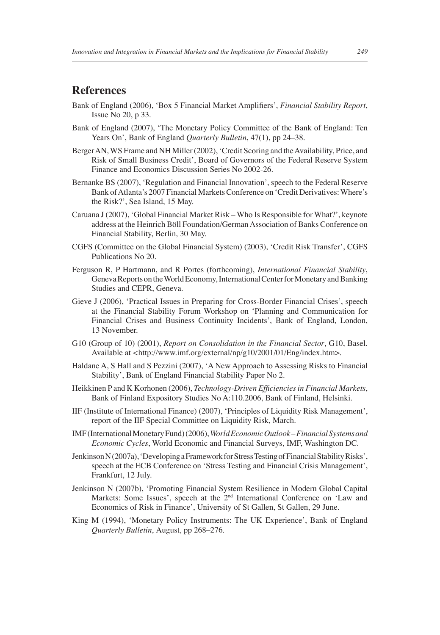#### **References**

- Bank of England (2006), 'Box 5 Financial Market Amplifiers', *Financial Stability Report*, Issue No 20, p 33.
- Bank of England (2007), 'The Monetary Policy Committee of the Bank of England: Ten Years On', Bank of England *Quarterly Bulletin*, 47(1), pp 24–38.
- Berger AN, WS Frame and NH Miller (2002), 'Credit Scoring and the Availability, Price, and Risk of Small Business Credit', Board of Governors of the Federal Reserve System Finance and Economics Discussion Series No 2002-26.
- Bernanke BS (2007), 'Regulation and Financial Innovation', speech to the Federal Reserve Bank of Atlanta's 2007 Financial Markets Conference on 'Credit Derivatives: Where's the Risk?', Sea Island, 15 May.
- Caruana J (2007), 'Global Financial Market Risk Who Is Responsible for What?', keynote address at the Heinrich Böll Foundation/German Association of Banks Conference on Financial Stability, Berlin, 30 May.
- CGFS (Committee on the Global Financial System) (2003), 'Credit Risk Transfer', CGFS Publications No 20.
- Ferguson R, P Hartmann, and R Portes (forthcoming), *International Financial Stability*, Geneva Reports on the World Economy, International Center for Monetary and Banking Studies and CEPR, Geneva.
- Gieve J (2006), 'Practical Issues in Preparing for Cross-Border Financial Crises', speech at the Financial Stability Forum Workshop on 'Planning and Communication for Financial Crises and Business Continuity Incidents', Bank of England, London, 13 November.
- G10 (Group of 10) (2001), *Report on Consolidation in the Financial Sector*, G10, Basel. Available at *<*http://www.imf.org/external/np/g10/2001/01/Eng/index.htm>.
- Haldane A, S Hall and S Pezzini (2007), 'A New Approach to Assessing Risks to Financial Stability', Bank of England Financial Stability Paper No 2.
- Heikkinen P and K Korhonen (2006), *Technology-Driven Efficiencies in Financial Markets*, Bank of Finland Expository Studies No A:110.2006, Bank of Finland, Helsinki.
- IIF (Institute of International Finance) (2007), 'Principles of Liquidity Risk Management', report of the IIF Special Committee on Liquidity Risk, March.
- IMF (International Monetary Fund) (2006), *World Economic Outlook Financial Systems and Economic Cycles*, World Economic and Financial Surveys, IMF, Washington DC.
- Jenkinson N (2007a), 'Developing a Framework for Stress Testing of Financial Stability Risks', speech at the ECB Conference on 'Stress Testing and Financial Crisis Management', Frankfurt, 12 July.
- Jenkinson N (2007b), 'Promoting Financial System Resilience in Modern Global Capital Markets: Some Issues', speech at the 2<sup>nd</sup> International Conference on 'Law and Economics of Risk in Finance', University of St Gallen, St Gallen, 29 June.
- King M (1994), 'Monetary Policy Instruments: The UK Experience', Bank of England *Quarterly Bulletin*, August, pp 268–276.